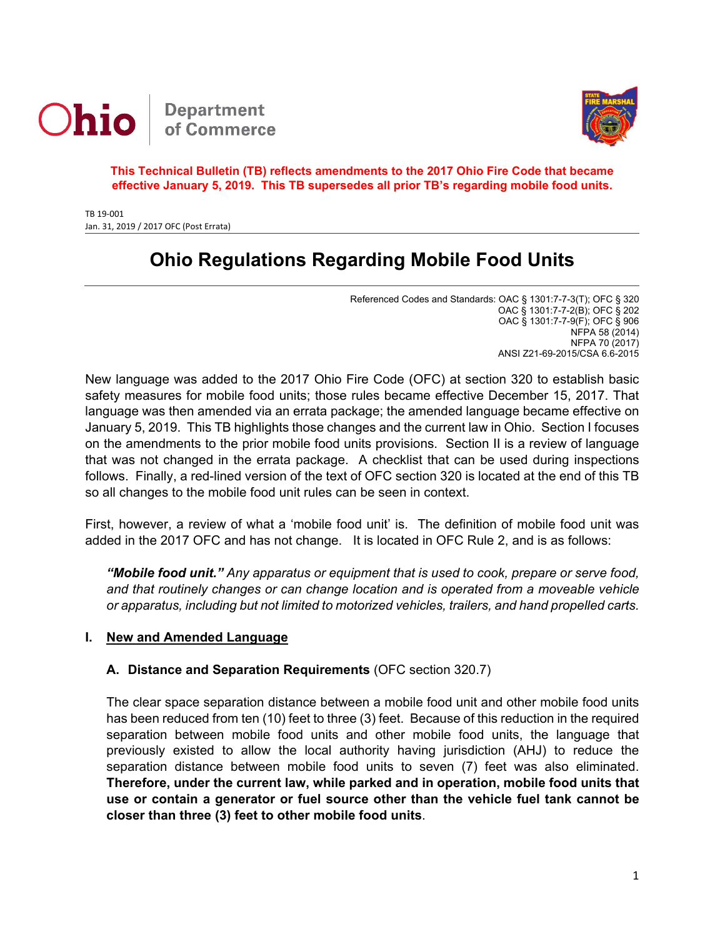



**This Technical Bulletin (TB) reflects amendments to the 2017 Ohio Fire Code that became effective January 5, 2019. This TB supersedes all prior TB's regarding mobile food units.**

TB 19‐001 Jan. 31, 2019 / 2017 OFC (Post Errata)

# **Ohio Regulations Regarding Mobile Food Units**

Referenced Codes and Standards: OAC § 1301:7-7-3(T); OFC § 320 OAC § 1301:7-7-2(B); OFC § 202 OAC § 1301:7-7-9(F); OFC § 906 NFPA 58 (2014) NFPA 70 (2017) ANSI Z21-69-2015/CSA 6.6-2015

New language was added to the 2017 Ohio Fire Code (OFC) at section 320 to establish basic safety measures for mobile food units; those rules became effective December 15, 2017. That language was then amended via an errata package; the amended language became effective on January 5, 2019. This TB highlights those changes and the current law in Ohio. Section I focuses on the amendments to the prior mobile food units provisions. Section II is a review of language that was not changed in the errata package. A checklist that can be used during inspections follows. Finally, a red-lined version of the text of OFC section 320 is located at the end of this TB so all changes to the mobile food unit rules can be seen in context.

First, however, a review of what a 'mobile food unit' is. The definition of mobile food unit was added in the 2017 OFC and has not change. It is located in OFC Rule 2, and is as follows:

*"Mobile food unit." Any apparatus or equipment that is used to cook, prepare or serve food, and that routinely changes or can change location and is operated from a moveable vehicle or apparatus, including but not limited to motorized vehicles, trailers, and hand propelled carts.*

#### **I. New and Amended Language**

#### **A. Distance and Separation Requirements** (OFC section 320.7)

The clear space separation distance between a mobile food unit and other mobile food units has been reduced from ten (10) feet to three (3) feet. Because of this reduction in the required separation between mobile food units and other mobile food units, the language that previously existed to allow the local authority having jurisdiction (AHJ) to reduce the separation distance between mobile food units to seven (7) feet was also eliminated. **Therefore, under the current law, while parked and in operation, mobile food units that use or contain a generator or fuel source other than the vehicle fuel tank cannot be closer than three (3) feet to other mobile food units**.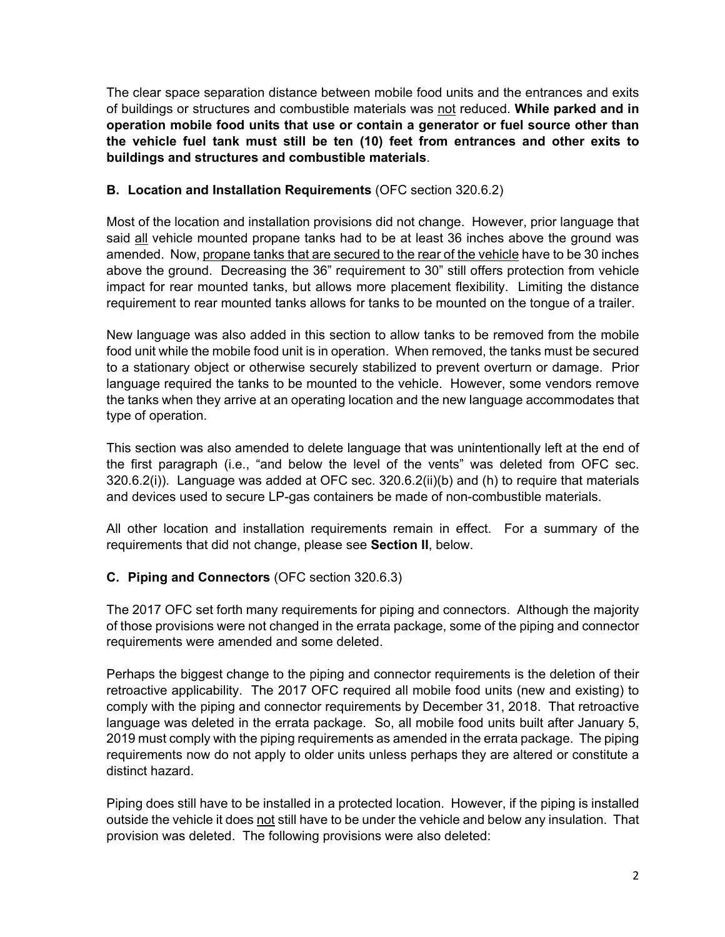The clear space separation distance between mobile food units and the entrances and exits of buildings or structures and combustible materials was not reduced. **While parked and in operation mobile food units that use or contain a generator or fuel source other than the vehicle fuel tank must still be ten (10) feet from entrances and other exits to buildings and structures and combustible materials**.

## **B. Location and Installation Requirements** (OFC section 320.6.2)

Most of the location and installation provisions did not change. However, prior language that said all vehicle mounted propane tanks had to be at least 36 inches above the ground was amended. Now, propane tanks that are secured to the rear of the vehicle have to be 30 inches above the ground. Decreasing the 36" requirement to 30" still offers protection from vehicle impact for rear mounted tanks, but allows more placement flexibility. Limiting the distance requirement to rear mounted tanks allows for tanks to be mounted on the tongue of a trailer.

New language was also added in this section to allow tanks to be removed from the mobile food unit while the mobile food unit is in operation. When removed, the tanks must be secured to a stationary object or otherwise securely stabilized to prevent overturn or damage. Prior language required the tanks to be mounted to the vehicle. However, some vendors remove the tanks when they arrive at an operating location and the new language accommodates that type of operation.

This section was also amended to delete language that was unintentionally left at the end of the first paragraph (i.e., "and below the level of the vents" was deleted from OFC sec. 320.6.2(i)). Language was added at OFC sec. 320.6.2(ii)(b) and (h) to require that materials and devices used to secure LP-gas containers be made of non-combustible materials.

All other location and installation requirements remain in effect. For a summary of the requirements that did not change, please see **Section II**, below.

## **C. Piping and Connectors** (OFC section 320.6.3)

The 2017 OFC set forth many requirements for piping and connectors. Although the majority of those provisions were not changed in the errata package, some of the piping and connector requirements were amended and some deleted.

Perhaps the biggest change to the piping and connector requirements is the deletion of their retroactive applicability. The 2017 OFC required all mobile food units (new and existing) to comply with the piping and connector requirements by December 31, 2018. That retroactive language was deleted in the errata package. So, all mobile food units built after January 5, 2019 must comply with the piping requirements as amended in the errata package. The piping requirements now do not apply to older units unless perhaps they are altered or constitute a distinct hazard.

Piping does still have to be installed in a protected location. However, if the piping is installed outside the vehicle it does not still have to be under the vehicle and below any insulation. That provision was deleted. The following provisions were also deleted: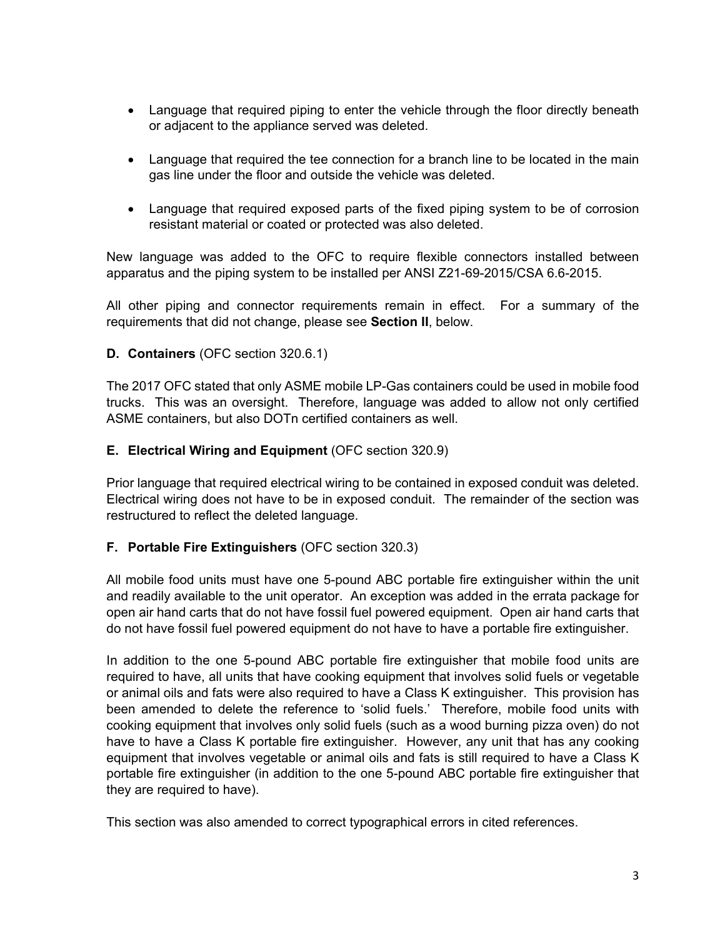- Language that required piping to enter the vehicle through the floor directly beneath or adjacent to the appliance served was deleted.
- Language that required the tee connection for a branch line to be located in the main gas line under the floor and outside the vehicle was deleted.
- Language that required exposed parts of the fixed piping system to be of corrosion resistant material or coated or protected was also deleted.

New language was added to the OFC to require flexible connectors installed between apparatus and the piping system to be installed per ANSI Z21-69-2015/CSA 6.6-2015.

All other piping and connector requirements remain in effect. For a summary of the requirements that did not change, please see **Section II**, below.

#### **D. Containers** (OFC section 320.6.1)

The 2017 OFC stated that only ASME mobile LP-Gas containers could be used in mobile food trucks. This was an oversight. Therefore, language was added to allow not only certified ASME containers, but also DOTn certified containers as well.

#### **E. Electrical Wiring and Equipment** (OFC section 320.9)

Prior language that required electrical wiring to be contained in exposed conduit was deleted. Electrical wiring does not have to be in exposed conduit. The remainder of the section was restructured to reflect the deleted language.

#### **F. Portable Fire Extinguishers** (OFC section 320.3)

All mobile food units must have one 5-pound ABC portable fire extinguisher within the unit and readily available to the unit operator. An exception was added in the errata package for open air hand carts that do not have fossil fuel powered equipment. Open air hand carts that do not have fossil fuel powered equipment do not have to have a portable fire extinguisher.

In addition to the one 5-pound ABC portable fire extinguisher that mobile food units are required to have, all units that have cooking equipment that involves solid fuels or vegetable or animal oils and fats were also required to have a Class K extinguisher. This provision has been amended to delete the reference to 'solid fuels.' Therefore, mobile food units with cooking equipment that involves only solid fuels (such as a wood burning pizza oven) do not have to have a Class K portable fire extinguisher. However, any unit that has any cooking equipment that involves vegetable or animal oils and fats is still required to have a Class K portable fire extinguisher (in addition to the one 5-pound ABC portable fire extinguisher that they are required to have).

This section was also amended to correct typographical errors in cited references.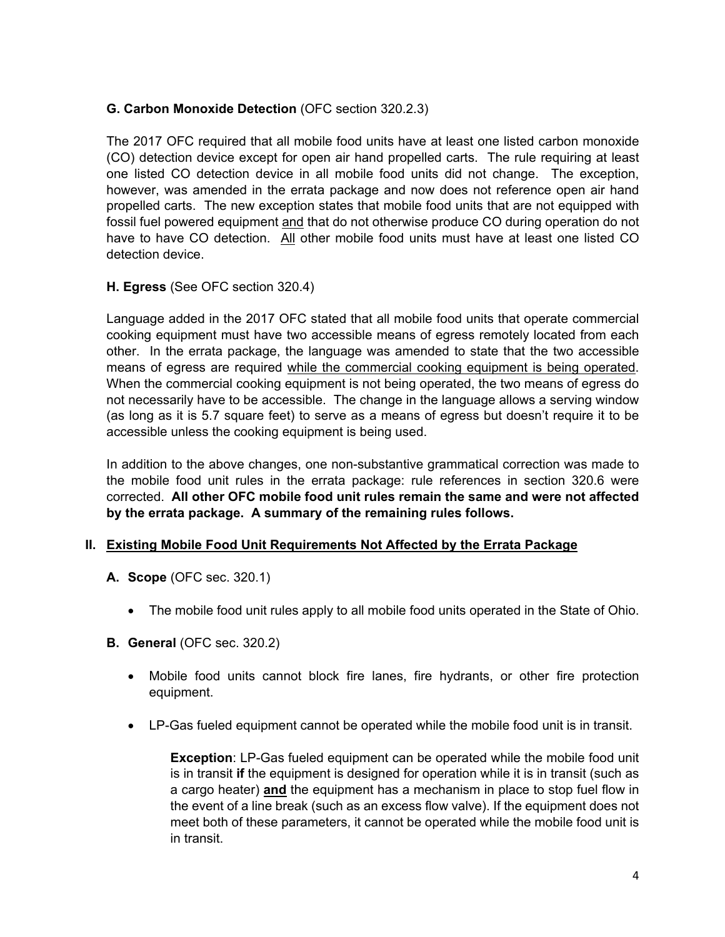## **G. Carbon Monoxide Detection** (OFC section 320.2.3)

The 2017 OFC required that all mobile food units have at least one listed carbon monoxide (CO) detection device except for open air hand propelled carts. The rule requiring at least one listed CO detection device in all mobile food units did not change. The exception, however, was amended in the errata package and now does not reference open air hand propelled carts. The new exception states that mobile food units that are not equipped with fossil fuel powered equipment and that do not otherwise produce CO during operation do not have to have CO detection. All other mobile food units must have at least one listed CO detection device.

## **H. Egress** (See OFC section 320.4)

Language added in the 2017 OFC stated that all mobile food units that operate commercial cooking equipment must have two accessible means of egress remotely located from each other. In the errata package, the language was amended to state that the two accessible means of egress are required while the commercial cooking equipment is being operated. When the commercial cooking equipment is not being operated, the two means of egress do not necessarily have to be accessible. The change in the language allows a serving window (as long as it is 5.7 square feet) to serve as a means of egress but doesn't require it to be accessible unless the cooking equipment is being used.

In addition to the above changes, one non-substantive grammatical correction was made to the mobile food unit rules in the errata package: rule references in section 320.6 were corrected. **All other OFC mobile food unit rules remain the same and were not affected by the errata package. A summary of the remaining rules follows.**

## **II. Existing Mobile Food Unit Requirements Not Affected by the Errata Package**

- **A. Scope** (OFC sec. 320.1)
	- The mobile food unit rules apply to all mobile food units operated in the State of Ohio.
- **B. General** (OFC sec. 320.2)
	- Mobile food units cannot block fire lanes, fire hydrants, or other fire protection equipment.
	- LP-Gas fueled equipment cannot be operated while the mobile food unit is in transit.

**Exception**: LP-Gas fueled equipment can be operated while the mobile food unit is in transit **if** the equipment is designed for operation while it is in transit (such as a cargo heater) **and** the equipment has a mechanism in place to stop fuel flow in the event of a line break (such as an excess flow valve). If the equipment does not meet both of these parameters, it cannot be operated while the mobile food unit is in transit.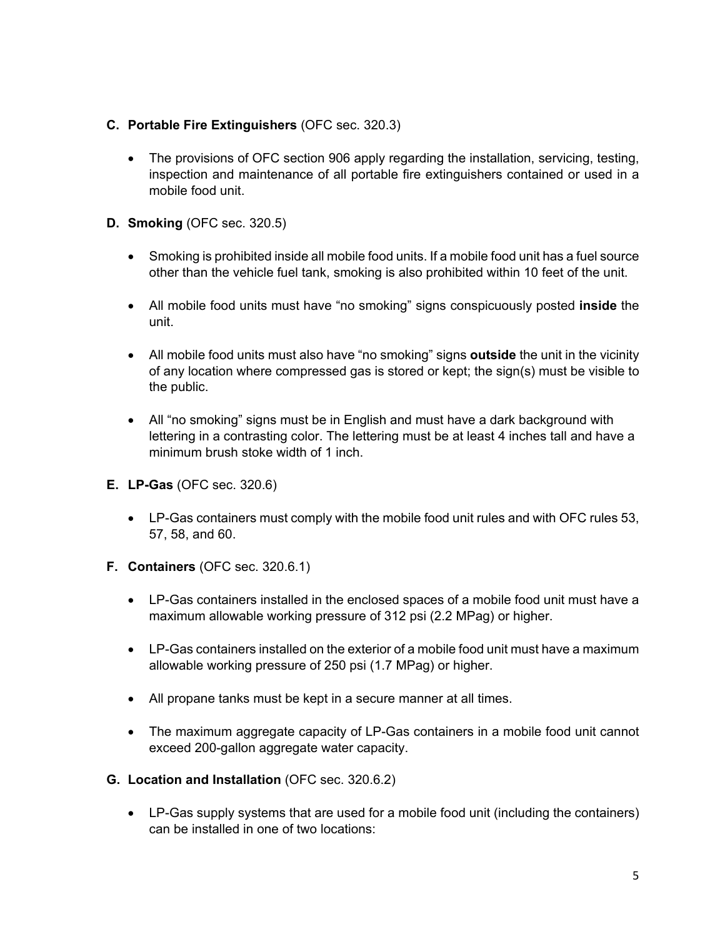#### **C. Portable Fire Extinguishers** (OFC sec. 320.3)

- The provisions of OFC section 906 apply regarding the installation, servicing, testing, inspection and maintenance of all portable fire extinguishers contained or used in a mobile food unit.
- **D. Smoking** (OFC sec. 320.5)
	- Smoking is prohibited inside all mobile food units. If a mobile food unit has a fuel source other than the vehicle fuel tank, smoking is also prohibited within 10 feet of the unit.
	- All mobile food units must have "no smoking" signs conspicuously posted **inside** the unit.
	- All mobile food units must also have "no smoking" signs **outside** the unit in the vicinity of any location where compressed gas is stored or kept; the sign(s) must be visible to the public.
	- All "no smoking" signs must be in English and must have a dark background with lettering in a contrasting color. The lettering must be at least 4 inches tall and have a minimum brush stoke width of 1 inch.
- **E. LP-Gas** (OFC sec. 320.6)
	- LP-Gas containers must comply with the mobile food unit rules and with OFC rules 53, 57, 58, and 60.
- **F. Containers** (OFC sec. 320.6.1)
	- LP-Gas containers installed in the enclosed spaces of a mobile food unit must have a maximum allowable working pressure of 312 psi (2.2 MPag) or higher.
	- LP-Gas containers installed on the exterior of a mobile food unit must have a maximum allowable working pressure of 250 psi (1.7 MPag) or higher.
	- All propane tanks must be kept in a secure manner at all times.
	- The maximum aggregate capacity of LP-Gas containers in a mobile food unit cannot exceed 200-gallon aggregate water capacity.
- **G. Location and Installation** (OFC sec. 320.6.2)
	- LP-Gas supply systems that are used for a mobile food unit (including the containers) can be installed in one of two locations: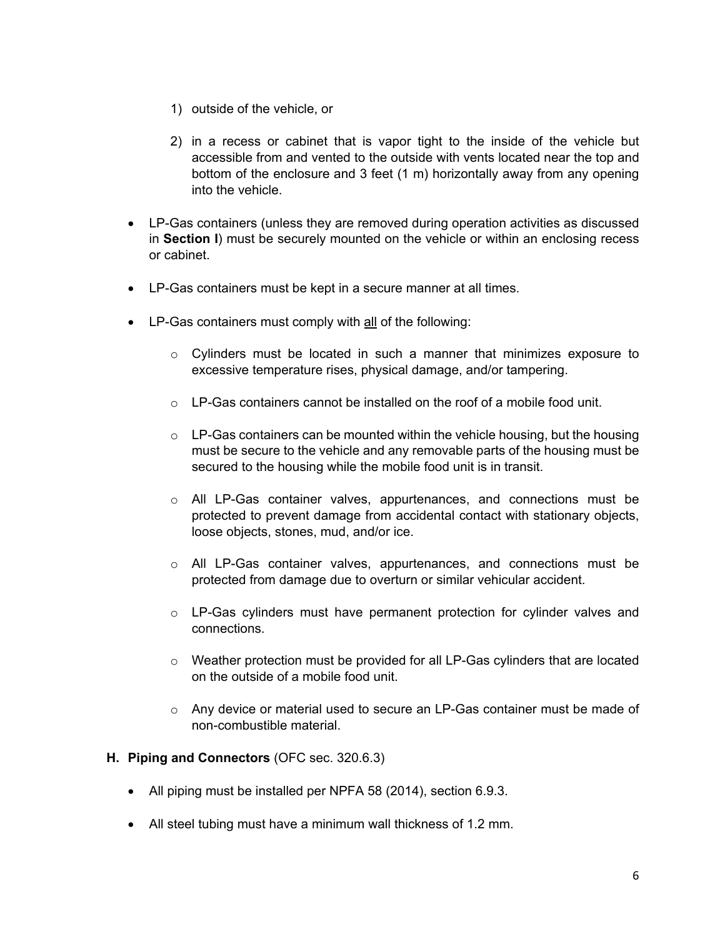- 1) outside of the vehicle, or
- 2) in a recess or cabinet that is vapor tight to the inside of the vehicle but accessible from and vented to the outside with vents located near the top and bottom of the enclosure and 3 feet (1 m) horizontally away from any opening into the vehicle.
- LP-Gas containers (unless they are removed during operation activities as discussed in **Section I**) must be securely mounted on the vehicle or within an enclosing recess or cabinet.
- LP-Gas containers must be kept in a secure manner at all times.
- LP-Gas containers must comply with all of the following:
	- $\circ$  Cylinders must be located in such a manner that minimizes exposure to excessive temperature rises, physical damage, and/or tampering.
	- $\circ$  LP-Gas containers cannot be installed on the roof of a mobile food unit.
	- $\circ$  LP-Gas containers can be mounted within the vehicle housing, but the housing must be secure to the vehicle and any removable parts of the housing must be secured to the housing while the mobile food unit is in transit.
	- $\circ$  All LP-Gas container valves, appurtenances, and connections must be protected to prevent damage from accidental contact with stationary objects, loose objects, stones, mud, and/or ice.
	- o All LP-Gas container valves, appurtenances, and connections must be protected from damage due to overturn or similar vehicular accident.
	- $\circ$  LP-Gas cylinders must have permanent protection for cylinder valves and connections.
	- $\circ$  Weather protection must be provided for all LP-Gas cylinders that are located on the outside of a mobile food unit.
	- $\circ$  Any device or material used to secure an LP-Gas container must be made of non-combustible material.

#### **H. Piping and Connectors** (OFC sec. 320.6.3)

- All piping must be installed per NPFA 58 (2014), section 6.9.3.
- All steel tubing must have a minimum wall thickness of 1.2 mm.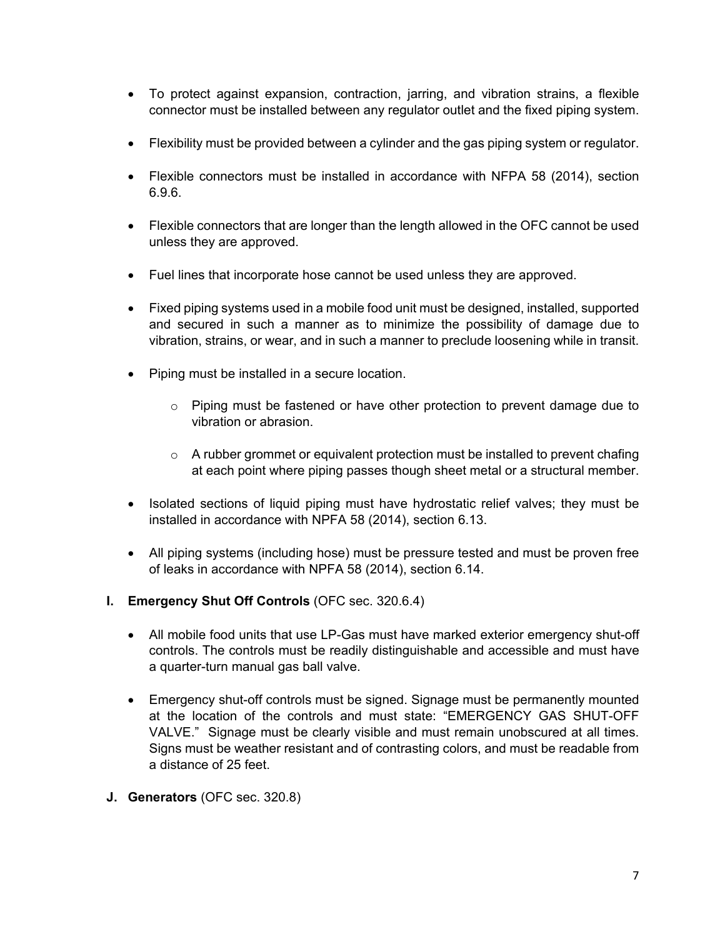- To protect against expansion, contraction, jarring, and vibration strains, a flexible connector must be installed between any regulator outlet and the fixed piping system.
- Flexibility must be provided between a cylinder and the gas piping system or regulator.
- Flexible connectors must be installed in accordance with NFPA 58 (2014), section 6.9.6.
- Flexible connectors that are longer than the length allowed in the OFC cannot be used unless they are approved.
- Fuel lines that incorporate hose cannot be used unless they are approved.
- Fixed piping systems used in a mobile food unit must be designed, installed, supported and secured in such a manner as to minimize the possibility of damage due to vibration, strains, or wear, and in such a manner to preclude loosening while in transit.
- Piping must be installed in a secure location.
	- $\circ$  Piping must be fastened or have other protection to prevent damage due to vibration or abrasion.
	- $\circ$  A rubber grommet or equivalent protection must be installed to prevent chafing at each point where piping passes though sheet metal or a structural member.
- Isolated sections of liquid piping must have hydrostatic relief valves; they must be installed in accordance with NPFA 58 (2014), section 6.13.
- All piping systems (including hose) must be pressure tested and must be proven free of leaks in accordance with NPFA 58 (2014), section 6.14.
- **I. Emergency Shut Off Controls** (OFC sec. 320.6.4)
	- All mobile food units that use LP-Gas must have marked exterior emergency shut-off controls. The controls must be readily distinguishable and accessible and must have a quarter-turn manual gas ball valve.
	- Emergency shut-off controls must be signed. Signage must be permanently mounted at the location of the controls and must state: "EMERGENCY GAS SHUT-OFF VALVE." Signage must be clearly visible and must remain unobscured at all times. Signs must be weather resistant and of contrasting colors, and must be readable from a distance of 25 feet.
- **J. Generators** (OFC sec. 320.8)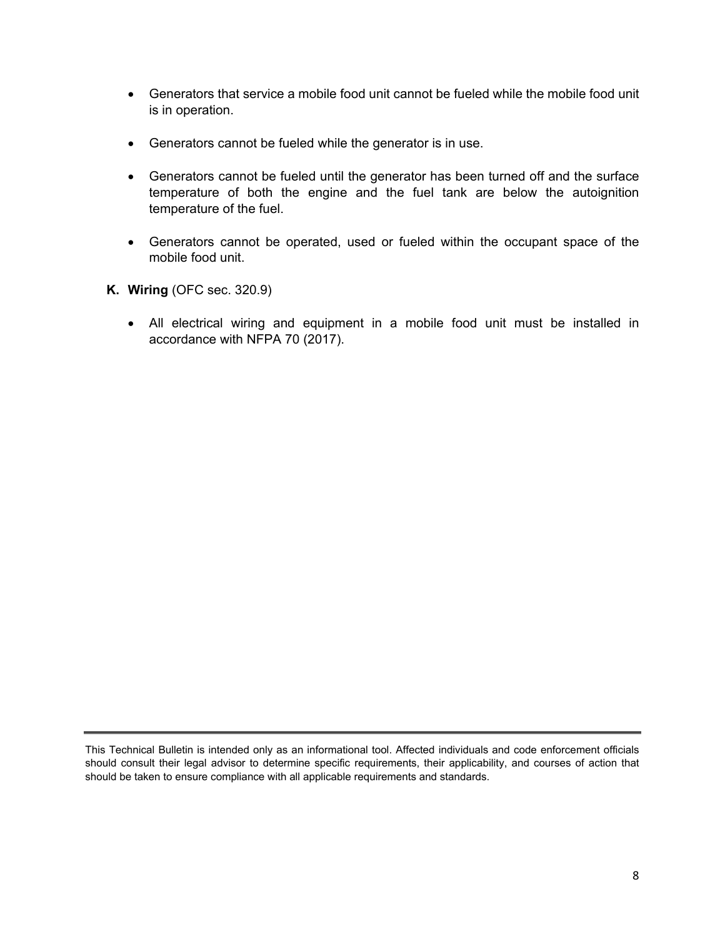- Generators that service a mobile food unit cannot be fueled while the mobile food unit is in operation.
- Generators cannot be fueled while the generator is in use.
- Generators cannot be fueled until the generator has been turned off and the surface temperature of both the engine and the fuel tank are below the autoignition temperature of the fuel.
- Generators cannot be operated, used or fueled within the occupant space of the mobile food unit.
- **K. Wiring** (OFC sec. 320.9)
	- All electrical wiring and equipment in a mobile food unit must be installed in accordance with NFPA 70 (2017).

This Technical Bulletin is intended only as an informational tool. Affected individuals and code enforcement officials should consult their legal advisor to determine specific requirements, their applicability, and courses of action that should be taken to ensure compliance with all applicable requirements and standards.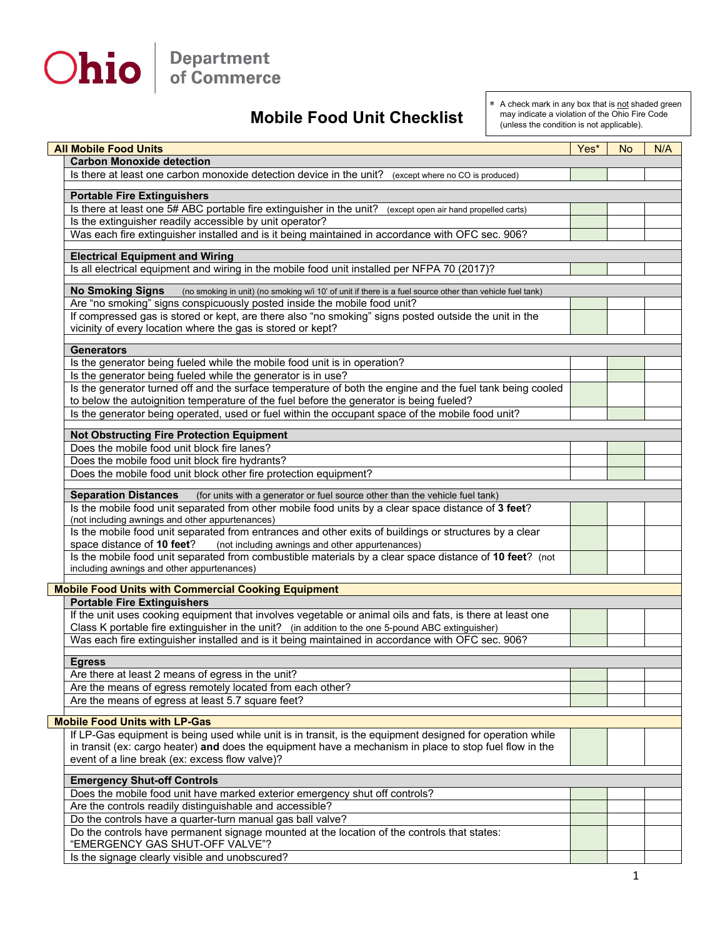

## **Mobile Food Unit Checklist**

\* A check mark in any box that is not shaded green may indicate a violation of the Ohio Fire Code (unless the condition is not applicable).

|                                                            | <b>All Mobile Food Units</b>                                                                                                                          | Yes* | <b>No</b> | N/A |  |  |
|------------------------------------------------------------|-------------------------------------------------------------------------------------------------------------------------------------------------------|------|-----------|-----|--|--|
|                                                            | <b>Carbon Monoxide detection</b>                                                                                                                      |      |           |     |  |  |
|                                                            | Is there at least one carbon monoxide detection device in the unit?<br>(except where no CO is produced)                                               |      |           |     |  |  |
|                                                            |                                                                                                                                                       |      |           |     |  |  |
|                                                            | <b>Portable Fire Extinguishers</b>                                                                                                                    |      |           |     |  |  |
|                                                            | Is there at least one 5# ABC portable fire extinguisher in the unit? (except open air hand propelled carts)                                           |      |           |     |  |  |
|                                                            | Is the extinguisher readily accessible by unit operator?                                                                                              |      |           |     |  |  |
|                                                            | Was each fire extinguisher installed and is it being maintained in accordance with OFC sec. 906?                                                      |      |           |     |  |  |
|                                                            | <b>Electrical Equipment and Wiring</b>                                                                                                                |      |           |     |  |  |
|                                                            | Is all electrical equipment and wiring in the mobile food unit installed per NFPA 70 (2017)?                                                          |      |           |     |  |  |
|                                                            |                                                                                                                                                       |      |           |     |  |  |
|                                                            | <b>No Smoking Signs</b><br>(no smoking in unit) (no smoking w/i 10' of unit if there is a fuel source other than vehicle fuel tank)                   |      |           |     |  |  |
|                                                            | Are "no smoking" signs conspicuously posted inside the mobile food unit?                                                                              |      |           |     |  |  |
|                                                            | If compressed gas is stored or kept, are there also "no smoking" signs posted outside the unit in the                                                 |      |           |     |  |  |
|                                                            | vicinity of every location where the gas is stored or kept?                                                                                           |      |           |     |  |  |
|                                                            | <b>Generators</b>                                                                                                                                     |      |           |     |  |  |
|                                                            | Is the generator being fueled while the mobile food unit is in operation?                                                                             |      |           |     |  |  |
|                                                            | Is the generator being fueled while the generator is in use?                                                                                          |      |           |     |  |  |
|                                                            | Is the generator turned off and the surface temperature of both the engine and the fuel tank being cooled                                             |      |           |     |  |  |
|                                                            | to below the autoignition temperature of the fuel before the generator is being fueled?                                                               |      |           |     |  |  |
|                                                            | Is the generator being operated, used or fuel within the occupant space of the mobile food unit?                                                      |      |           |     |  |  |
|                                                            |                                                                                                                                                       |      |           |     |  |  |
|                                                            | <b>Not Obstructing Fire Protection Equipment</b>                                                                                                      |      |           |     |  |  |
|                                                            | Does the mobile food unit block fire lanes?                                                                                                           |      |           |     |  |  |
|                                                            | Does the mobile food unit block fire hydrants?                                                                                                        |      |           |     |  |  |
|                                                            | Does the mobile food unit block other fire protection equipment?                                                                                      |      |           |     |  |  |
|                                                            |                                                                                                                                                       |      |           |     |  |  |
|                                                            | <b>Separation Distances</b><br>(for units with a generator or fuel source other than the vehicle fuel tank)                                           |      |           |     |  |  |
|                                                            | Is the mobile food unit separated from other mobile food units by a clear space distance of 3 feet?                                                   |      |           |     |  |  |
|                                                            | (not including awnings and other appurtenances)                                                                                                       |      |           |     |  |  |
|                                                            | Is the mobile food unit separated from entrances and other exits of buildings or structures by a clear                                                |      |           |     |  |  |
|                                                            | space distance of 10 feet? (not including awnings and other appurtenances)                                                                            |      |           |     |  |  |
|                                                            | Is the mobile food unit separated from combustible materials by a clear space distance of 10 feet? (not<br>including awnings and other appurtenances) |      |           |     |  |  |
|                                                            |                                                                                                                                                       |      |           |     |  |  |
| <b>Mobile Food Units with Commercial Cooking Equipment</b> |                                                                                                                                                       |      |           |     |  |  |
| <b>Portable Fire Extinguishers</b>                         |                                                                                                                                                       |      |           |     |  |  |
|                                                            | If the unit uses cooking equipment that involves vegetable or animal oils and fats, is there at least one                                             |      |           |     |  |  |
|                                                            | Class K portable fire extinguisher in the unit? (in addition to the one 5-pound ABC extinguisher)                                                     |      |           |     |  |  |
|                                                            | Was each fire extinguisher installed and is it being maintained in accordance with OFC sec. 906?                                                      |      |           |     |  |  |
|                                                            |                                                                                                                                                       |      |           |     |  |  |
|                                                            | <b>Egress</b>                                                                                                                                         |      |           |     |  |  |
|                                                            | Are there at least 2 means of egress in the unit?                                                                                                     |      |           |     |  |  |
|                                                            | Are the means of egress remotely located from each other?                                                                                             |      |           |     |  |  |
|                                                            | Are the means of egress at least 5.7 square feet?                                                                                                     |      |           |     |  |  |
| <b>Mobile Food Units with LP-Gas</b>                       |                                                                                                                                                       |      |           |     |  |  |
|                                                            | If LP-Gas equipment is being used while unit is in transit, is the equipment designed for operation while                                             |      |           |     |  |  |
|                                                            | in transit (ex: cargo heater) and does the equipment have a mechanism in place to stop fuel flow in the                                               |      |           |     |  |  |
|                                                            | event of a line break (ex: excess flow valve)?                                                                                                        |      |           |     |  |  |
|                                                            |                                                                                                                                                       |      |           |     |  |  |
|                                                            | <b>Emergency Shut-off Controls</b>                                                                                                                    |      |           |     |  |  |
|                                                            | Does the mobile food unit have marked exterior emergency shut off controls?                                                                           |      |           |     |  |  |
|                                                            | Are the controls readily distinguishable and accessible?                                                                                              |      |           |     |  |  |
|                                                            | Do the controls have a quarter-turn manual gas ball valve?                                                                                            |      |           |     |  |  |
|                                                            | Do the controls have permanent signage mounted at the location of the controls that states:                                                           |      |           |     |  |  |
|                                                            | "EMERGENCY GAS SHUT-OFF VALVE"?                                                                                                                       |      |           |     |  |  |
|                                                            | Is the signage clearly visible and unobscured?                                                                                                        |      |           |     |  |  |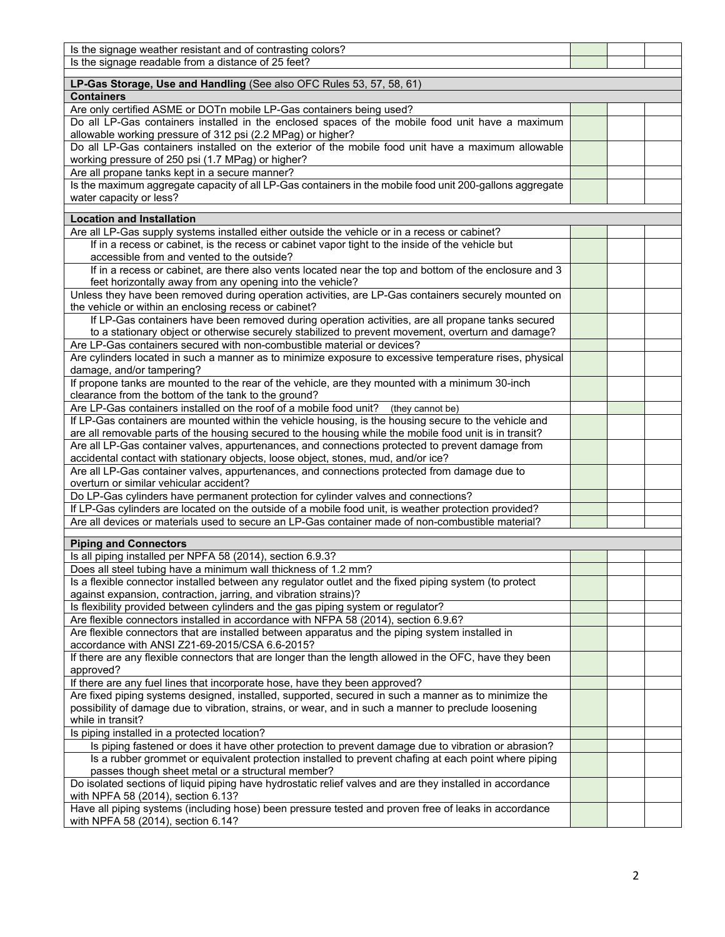| Is the signage weather resistant and of contrasting colors?                                               |  |  |  |  |  |  |
|-----------------------------------------------------------------------------------------------------------|--|--|--|--|--|--|
| Is the signage readable from a distance of 25 feet?                                                       |  |  |  |  |  |  |
|                                                                                                           |  |  |  |  |  |  |
| LP-Gas Storage, Use and Handling (See also OFC Rules 53, 57, 58, 61)                                      |  |  |  |  |  |  |
| <b>Containers</b>                                                                                         |  |  |  |  |  |  |
| Are only certified ASME or DOTn mobile LP-Gas containers being used?                                      |  |  |  |  |  |  |
| Do all LP-Gas containers installed in the enclosed spaces of the mobile food unit have a maximum          |  |  |  |  |  |  |
| allowable working pressure of 312 psi (2.2 MPag) or higher?                                               |  |  |  |  |  |  |
| Do all LP-Gas containers installed on the exterior of the mobile food unit have a maximum allowable       |  |  |  |  |  |  |
| working pressure of 250 psi (1.7 MPag) or higher?                                                         |  |  |  |  |  |  |
| Are all propane tanks kept in a secure manner?                                                            |  |  |  |  |  |  |
| Is the maximum aggregate capacity of all LP-Gas containers in the mobile food unit 200-gallons aggregate  |  |  |  |  |  |  |
| water capacity or less?                                                                                   |  |  |  |  |  |  |
| <b>Location and Installation</b>                                                                          |  |  |  |  |  |  |
|                                                                                                           |  |  |  |  |  |  |
| Are all LP-Gas supply systems installed either outside the vehicle or in a recess or cabinet?             |  |  |  |  |  |  |
| If in a recess or cabinet, is the recess or cabinet vapor tight to the inside of the vehicle but          |  |  |  |  |  |  |
| accessible from and vented to the outside?                                                                |  |  |  |  |  |  |
| If in a recess or cabinet, are there also vents located near the top and bottom of the enclosure and 3    |  |  |  |  |  |  |
| feet horizontally away from any opening into the vehicle?                                                 |  |  |  |  |  |  |
| Unless they have been removed during operation activities, are LP-Gas containers securely mounted on      |  |  |  |  |  |  |
| the vehicle or within an enclosing recess or cabinet?                                                     |  |  |  |  |  |  |
| If LP-Gas containers have been removed during operation activities, are all propane tanks secured         |  |  |  |  |  |  |
| to a stationary object or otherwise securely stabilized to prevent movement, overturn and damage?         |  |  |  |  |  |  |
| Are LP-Gas containers secured with non-combustible material or devices?                                   |  |  |  |  |  |  |
| Are cylinders located in such a manner as to minimize exposure to excessive temperature rises, physical   |  |  |  |  |  |  |
| damage, and/or tampering?                                                                                 |  |  |  |  |  |  |
| If propone tanks are mounted to the rear of the vehicle, are they mounted with a minimum 30-inch          |  |  |  |  |  |  |
| clearance from the bottom of the tank to the ground?                                                      |  |  |  |  |  |  |
| Are LP-Gas containers installed on the roof of a mobile food unit?<br>(they cannot be)                    |  |  |  |  |  |  |
| If LP-Gas containers are mounted within the vehicle housing, is the housing secure to the vehicle and     |  |  |  |  |  |  |
| are all removable parts of the housing secured to the housing while the mobile food unit is in transit?   |  |  |  |  |  |  |
| Are all LP-Gas container valves, appurtenances, and connections protected to prevent damage from          |  |  |  |  |  |  |
| accidental contact with stationary objects, loose object, stones, mud, and/or ice?                        |  |  |  |  |  |  |
| Are all LP-Gas container valves, appurtenances, and connections protected from damage due to              |  |  |  |  |  |  |
| overturn or similar vehicular accident?                                                                   |  |  |  |  |  |  |
| Do LP-Gas cylinders have permanent protection for cylinder valves and connections?                        |  |  |  |  |  |  |
| If LP-Gas cylinders are located on the outside of a mobile food unit, is weather protection provided?     |  |  |  |  |  |  |
| Are all devices or materials used to secure an LP-Gas container made of non-combustible material?         |  |  |  |  |  |  |
| <b>Piping and Connectors</b>                                                                              |  |  |  |  |  |  |
| Is all piping installed per NPFA 58 (2014), section 6.9.3?                                                |  |  |  |  |  |  |
| Does all steel tubing have a minimum wall thickness of 1.2 mm?                                            |  |  |  |  |  |  |
| Is a flexible connector installed between any regulator outlet and the fixed piping system (to protect    |  |  |  |  |  |  |
| against expansion, contraction, jarring, and vibration strains)?                                          |  |  |  |  |  |  |
|                                                                                                           |  |  |  |  |  |  |
| Is flexibility provided between cylinders and the gas piping system or regulator?                         |  |  |  |  |  |  |
| Are flexible connectors installed in accordance with NFPA 58 (2014), section 6.9.6?                       |  |  |  |  |  |  |
| Are flexible connectors that are installed between apparatus and the piping system installed in           |  |  |  |  |  |  |
| accordance with ANSI Z21-69-2015/CSA 6.6-2015?                                                            |  |  |  |  |  |  |
| If there are any flexible connectors that are longer than the length allowed in the OFC, have they been   |  |  |  |  |  |  |
| approved?                                                                                                 |  |  |  |  |  |  |
| If there are any fuel lines that incorporate hose, have they been approved?                               |  |  |  |  |  |  |
| Are fixed piping systems designed, installed, supported, secured in such a manner as to minimize the      |  |  |  |  |  |  |
| possibility of damage due to vibration, strains, or wear, and in such a manner to preclude loosening      |  |  |  |  |  |  |
| while in transit?                                                                                         |  |  |  |  |  |  |
| Is piping installed in a protected location?                                                              |  |  |  |  |  |  |
| Is piping fastened or does it have other protection to prevent damage due to vibration or abrasion?       |  |  |  |  |  |  |
| Is a rubber grommet or equivalent protection installed to prevent chafing at each point where piping      |  |  |  |  |  |  |
| passes though sheet metal or a structural member?                                                         |  |  |  |  |  |  |
| Do isolated sections of liquid piping have hydrostatic relief valves and are they installed in accordance |  |  |  |  |  |  |
| with NPFA 58 (2014), section 6.13?                                                                        |  |  |  |  |  |  |
| Have all piping systems (including hose) been pressure tested and proven free of leaks in accordance      |  |  |  |  |  |  |
| with NPFA 58 (2014), section 6.14?                                                                        |  |  |  |  |  |  |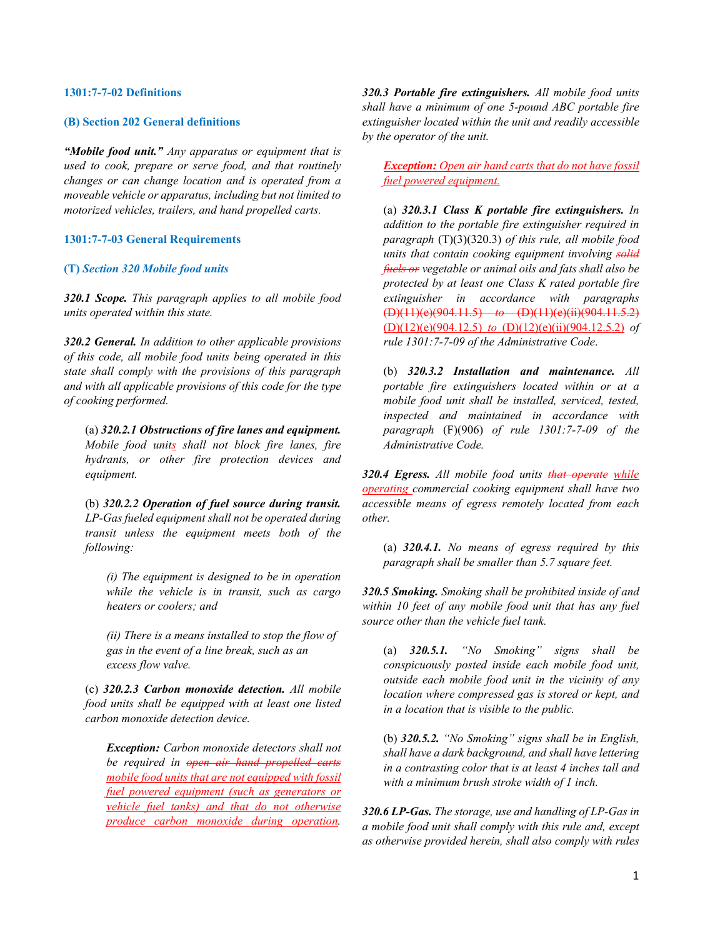#### **1301:7-7-02 Definitions**

#### **(B) Section 202 General definitions**

*"Mobile food unit." Any apparatus or equipment that is used to cook, prepare or serve food, and that routinely changes or can change location and is operated from a moveable vehicle or apparatus, including but not limited to motorized vehicles, trailers, and hand propelled carts.*

#### **1301:7-7-03 General Requirements**

#### **(T)** *Section 320 Mobile food units*

*320.1 Scope. This paragraph applies to all mobile food units operated within this state.* 

*320.2 General. In addition to other applicable provisions of this code, all mobile food units being operated in this state shall comply with the provisions of this paragraph and with all applicable provisions of this code for the type of cooking performed.* 

(a) *320.2.1 Obstructions of fire lanes and equipment. Mobile food units shall not block fire lanes, fire hydrants, or other fire protection devices and equipment.* 

(b) *320.2.2 Operation of fuel source during transit. LP-Gas fueled equipment shall not be operated during transit unless the equipment meets both of the following:* 

*(i) The equipment is designed to be in operation while the vehicle is in transit, such as cargo heaters or coolers; and* 

*(ii) There is a means installed to stop the flow of gas in the event of a line break, such as an excess flow valve.*

(c) *320.2.3 Carbon monoxide detection. All mobile food units shall be equipped with at least one listed carbon monoxide detection device.* 

*Exception: Carbon monoxide detectors shall not be required in open air hand propelled carts mobile food units that are not equipped with fossil fuel powered equipment (such as generators or vehicle fuel tanks) and that do not otherwise produce carbon monoxide during operation.*

*320.3 Portable fire extinguishers. All mobile food units shall have a minimum of one 5-pound ABC portable fire extinguisher located within the unit and readily accessible by the operator of the unit.* 

*Exception: Open air hand carts that do not have fossil fuel powered equipment.*

(a) *320.3.1 Class K portable fire extinguishers. In addition to the portable fire extinguisher required in paragraph* (T)(3)(320.3) *of this rule, all mobile food units that contain cooking equipment involving solid fuels or vegetable or animal oils and fats shall also be protected by at least one Class K rated portable fire extinguisher in accordance with paragraphs*  (D)(11)(e)(904.11.5) *to* (D)(11)(e)(ii)(904.11.5.2) (D)(12)(e)(904.12.5) *to* (D)(12)(e)(ii)(904.12.5.2) *of rule 1301:7-7-09 of the Administrative Code*.

(b) *320.3.2 Installation and maintenance. All portable fire extinguishers located within or at a mobile food unit shall be installed, serviced, tested, inspected and maintained in accordance with paragraph* (F)(906) *of rule 1301:7-7-09 of the Administrative Code.* 

*320.4 Egress. All mobile food units that operate while operating commercial cooking equipment shall have two accessible means of egress remotely located from each other.* 

(a) *320.4.1. No means of egress required by this paragraph shall be smaller than 5.7 square feet.* 

*320.5 Smoking. Smoking shall be prohibited inside of and within 10 feet of any mobile food unit that has any fuel source other than the vehicle fuel tank.* 

(a) *320.5.1. "No Smoking" signs shall be conspicuously posted inside each mobile food unit, outside each mobile food unit in the vicinity of any location where compressed gas is stored or kept, and in a location that is visible to the public.* 

(b) *320.5.2. "No Smoking" signs shall be in English, shall have a dark background, and shall have lettering in a contrasting color that is at least 4 inches tall and with a minimum brush stroke width of 1 inch.* 

*320.6 LP-Gas. The storage, use and handling of LP-Gas in a mobile food unit shall comply with this rule and, except as otherwise provided herein, shall also comply with rules*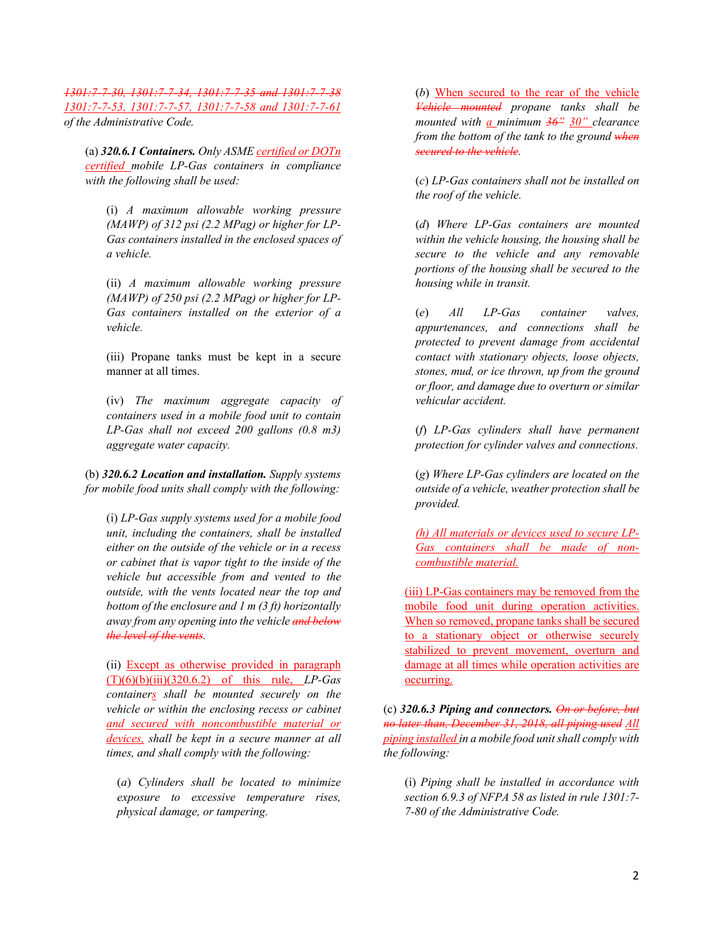*1301:7-7-30, 1301:7-7-34, 1301:7-7-35 and 1301:7-7-38 1301:7-7-53, 1301:7-7-57, 1301:7-7-58 and 1301:7-7-61 of the Administrative Code.* 

(a) *320.6.1 Containers. Only ASME certified or DOTn certified mobile LP-Gas containers in compliance with the following shall be used:* 

(i) *A maximum allowable working pressure (MAWP) of 312 psi (2.2 MPag) or higher for LP-Gas containers installed in the enclosed spaces of a vehicle.* 

(ii) *A maximum allowable working pressure (MAWP) of 250 psi (2.2 MPag) or higher for LP-Gas containers installed on the exterior of a vehicle.* 

(iii) Propane tanks must be kept in a secure manner at all times.

(iv) *The maximum aggregate capacity of containers used in a mobile food unit to contain LP-Gas shall not exceed 200 gallons (0.8 m3) aggregate water capacity.* 

(b) *320.6.2 Location and installation. Supply systems for mobile food units shall comply with the following:* 

(i) *LP-Gas supply systems used for a mobile food unit, including the containers, shall be installed either on the outside of the vehicle or in a recess or cabinet that is vapor tight to the inside of the vehicle but accessible from and vented to the outside, with the vents located near the top and bottom of the enclosure and 1 m (3 ft) horizontally away from any opening into the vehicle and below the level of the vents.* 

(ii) Except as otherwise provided in paragraph (T)(6)(b)(iii)(320.6.2) of this rule, *LP-Gas containers shall be mounted securely on the vehicle or within the enclosing recess or cabinet and secured with noncombustible material or devices, shall be kept in a secure manner at all times, and shall comply with the following:* 

(*a*) *Cylinders shall be located to minimize exposure to excessive temperature rises, physical damage, or tampering.* 

(*b*) When secured to the rear of the vehicle *Vehicle mounted propane tanks shall be mounted with a minimum 36" 30" clearance from the bottom of the tank to the ground when secured to the vehicle.* 

(*c*) *LP-Gas containers shall not be installed on the roof of the vehicle.* 

(*d*) *Where LP-Gas containers are mounted within the vehicle housing, the housing shall be secure to the vehicle and any removable portions of the housing shall be secured to the housing while in transit.* 

(*e*) *All LP-Gas container valves, appurtenances, and connections shall be protected to prevent damage from accidental contact with stationary objects, loose objects, stones, mud, or ice thrown, up from the ground or floor, and damage due to overturn or similar vehicular accident.* 

(*f*) *LP-Gas cylinders shall have permanent protection for cylinder valves and connections.* 

(*g*) *Where LP-Gas cylinders are located on the outside of a vehicle, weather protection shall be provided.* 

*(h) All materials or devices used to secure LP-Gas containers shall be made of noncombustible material.* 

(iii) LP-Gas containers may be removed from the mobile food unit during operation activities. When so removed, propane tanks shall be secured to a stationary object or otherwise securely stabilized to prevent movement, overturn and damage at all times while operation activities are occurring.

(c) *320.6.3 Piping and connectors. On or before, but no later than, December 31, 2018, all piping used All piping installed in a mobile food unit shall comply with the following:* 

(i) *Piping shall be installed in accordance with section 6.9.3 of NFPA 58 as listed in rule 1301:7- 7-80 of the Administrative Code.*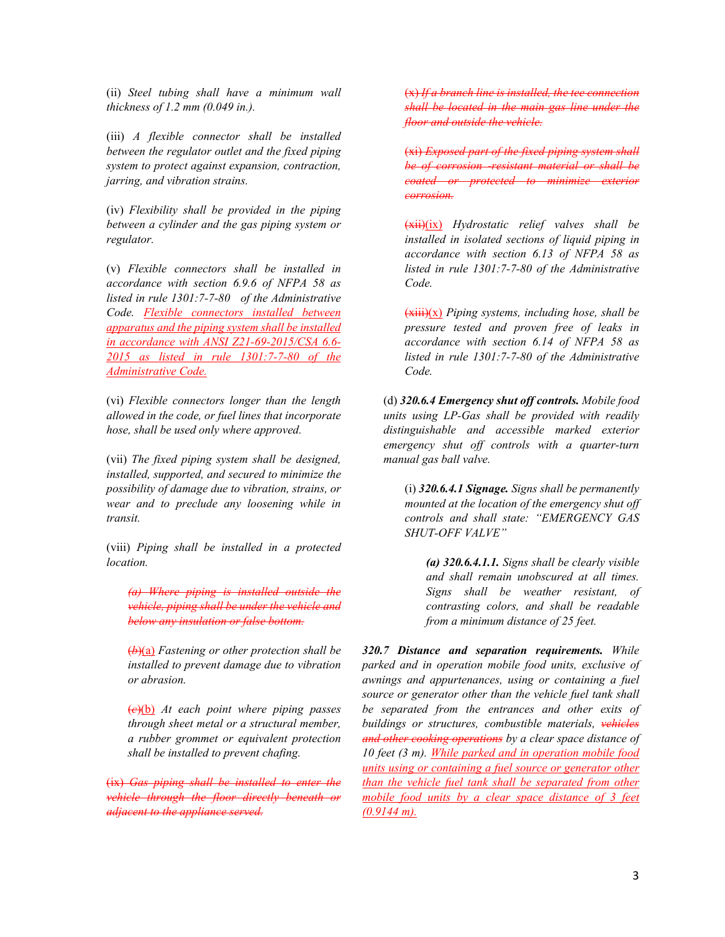(ii) *Steel tubing shall have a minimum wall thickness of 1.2 mm (0.049 in.).* 

(iii) *A flexible connector shall be installed between the regulator outlet and the fixed piping system to protect against expansion, contraction, jarring, and vibration strains.* 

(iv) *Flexibility shall be provided in the piping between a cylinder and the gas piping system or regulator.* 

(v) *Flexible connectors shall be installed in accordance with section 6.9.6 of NFPA 58 as listed in rule 1301:7-7-80 of the Administrative Code. Flexible connectors installed between apparatus and the piping system shall be installed in accordance with ANSI Z21-69-2015/CSA 6.6- 2015 as listed in rule 1301:7-7-80 of the Administrative Code.*

(vi) *Flexible connectors longer than the length allowed in the code, or fuel lines that incorporate hose, shall be used only where approved.* 

(vii) *The fixed piping system shall be designed, installed, supported, and secured to minimize the possibility of damage due to vibration, strains, or wear and to preclude any loosening while in transit.* 

(viii) *Piping shall be installed in a protected location.* 

*(a) Where piping is installed outside the vehicle, piping shall be under the vehicle and below any insulation or false bottom.* 

(*b*)(a) *Fastening or other protection shall be installed to prevent damage due to vibration or abrasion.* 

(*c*)(b) *At each point where piping passes through sheet metal or a structural member, a rubber grommet or equivalent protection shall be installed to prevent chafing.* 

(ix) *Gas piping shall be installed to enter the vehicle through the floor directly beneath or adjacent to the appliance served.* 

(x) *If a branch line is installed, the tee connection shall be located in the main gas line under the floor and outside the vehicle.* 

(xi) *Exposed part of the fixed piping system be of corrosion -resistant material or shall be coated or protected to minimize corrosion.* 

(xii)(ix) *Hydrostatic relief valves shall be installed in isolated sections of liquid piping in accordance with section 6.13 of NFPA 58 as listed in rule 1301:7-7-80 of the Administrative Code.* 

(xiii)(x) *Piping systems, including hose, shall be pressure tested and proven free of leaks in accordance with section 6.14 of NFPA 58 as listed in rule 1301:7-7-80 of the Administrative Code.* 

(d) *320.6.4 Emergency shut off controls. Mobile food units using LP-Gas shall be provided with readily distinguishable and accessible marked exterior emergency shut off controls with a quarter-turn manual gas ball valve.* 

(i) *320.6.4.1 Signage. Signs shall be permanently mounted at the location of the emergency shut off controls and shall state: "EMERGENCY GAS SHUT-OFF VALVE"* 

*(a) 320.6.4.1.1. Signs shall be clearly visible and shall remain unobscured at all times. Signs shall be weather resistant, of contrasting colors, and shall be readable from a minimum distance of 25 feet.* 

*320.7 Distance and separation requirements. While parked and in operation mobile food units, exclusive of awnings and appurtenances, using or containing a fuel source or generator other than the vehicle fuel tank shall be separated from the entrances and other exits of buildings or structures, combustible materials, vehicles and other cooking operations by a clear space distance of 10 feet (3 m). While parked and in operation mobile food units using or containing a fuel source or generator other than the vehicle fuel tank shall be separated from other mobile food units by a clear space distance of 3 feet (0.9144 m).*